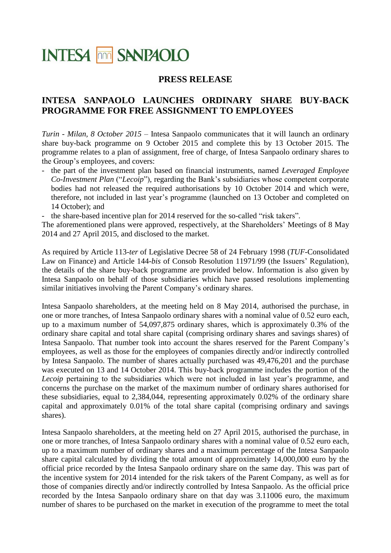# **INTESA MM SANPAOLO**

### **PRESS RELEASE**

## **INTESA SANPAOLO LAUNCHES ORDINARY SHARE BUY-BACK PROGRAMME FOR FREE ASSIGNMENT TO EMPLOYEES**

*Turin - Milan, 8 October 2015* – Intesa Sanpaolo communicates that it will launch an ordinary share buy-back programme on 9 October 2015 and complete this by 13 October 2015. The programme relates to a plan of assignment, free of charge, of Intesa Sanpaolo ordinary shares to the Group's employees, and covers:

- the part of the investment plan based on financial instruments, named *Leveraged Employee Co-Investment Plan* ("*Lecoip*"), regarding the Bank's subsidiaries whose competent corporate bodies had not released the required authorisations by 10 October 2014 and which were, therefore, not included in last year's programme (launched on 13 October and completed on 14 October); and
- the share-based incentive plan for 2014 reserved for the so-called "risk takers".

The aforementioned plans were approved, respectively, at the Shareholders' Meetings of 8 May 2014 and 27 April 2015, and disclosed to the market.

As required by Article 113-*ter* of Legislative Decree 58 of 24 February 1998 (*TUF*-Consolidated Law on Finance) and Article 144-*bis* of Consob Resolution 11971/99 (the Issuers' Regulation), the details of the share buy-back programme are provided below. Information is also given by Intesa Sanpaolo on behalf of those subsidiaries which have passed resolutions implementing similar initiatives involving the Parent Company's ordinary shares.

Intesa Sanpaolo shareholders, at the meeting held on 8 May 2014, authorised the purchase, in one or more tranches, of Intesa Sanpaolo ordinary shares with a nominal value of 0.52 euro each, up to a maximum number of 54,097,875 ordinary shares, which is approximately 0.3% of the ordinary share capital and total share capital (comprising ordinary shares and savings shares) of Intesa Sanpaolo. That number took into account the shares reserved for the Parent Company's employees, as well as those for the employees of companies directly and/or indirectly controlled by Intesa Sanpaolo. The number of shares actually purchased was 49,476,201 and the purchase was executed on 13 and 14 October 2014. This buy-back programme includes the portion of the *Lecoip* pertaining to the subsidiaries which were not included in last year's programme, and concerns the purchase on the market of the maximum number of ordinary shares authorised for these subsidiaries, equal to 2,384,044, representing approximately 0.02% of the ordinary share capital and approximately 0.01% of the total share capital (comprising ordinary and savings shares).

Intesa Sanpaolo shareholders, at the meeting held on 27 April 2015, authorised the purchase, in one or more tranches, of Intesa Sanpaolo ordinary shares with a nominal value of 0.52 euro each, up to a maximum number of ordinary shares and a maximum percentage of the Intesa Sanpaolo share capital calculated by dividing the total amount of approximately 14,000,000 euro by the official price recorded by the Intesa Sanpaolo ordinary share on the same day. This was part of the incentive system for 2014 intended for the risk takers of the Parent Company, as well as for those of companies directly and/or indirectly controlled by Intesa Sanpaolo. As the official price recorded by the Intesa Sanpaolo ordinary share on that day was 3.11006 euro, the maximum number of shares to be purchased on the market in execution of the programme to meet the total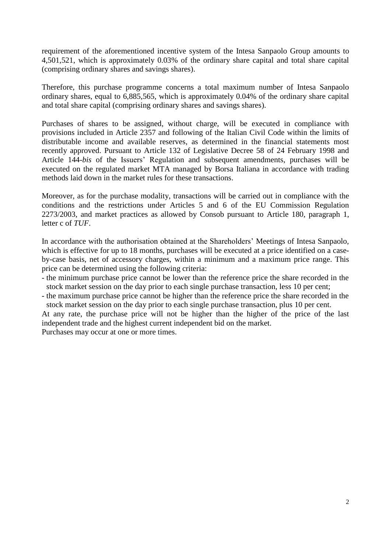requirement of the aforementioned incentive system of the Intesa Sanpaolo Group amounts to 4,501,521, which is approximately 0.03% of the ordinary share capital and total share capital (comprising ordinary shares and savings shares).

Therefore, this purchase programme concerns a total maximum number of Intesa Sanpaolo ordinary shares, equal to 6,885,565, which is approximately 0.04% of the ordinary share capital and total share capital (comprising ordinary shares and savings shares).

Purchases of shares to be assigned, without charge, will be executed in compliance with provisions included in Article 2357 and following of the Italian Civil Code within the limits of distributable income and available reserves, as determined in the financial statements most recently approved. Pursuant to Article 132 of Legislative Decree 58 of 24 February 1998 and Article 144-*bis* of the Issuers' Regulation and subsequent amendments, purchases will be executed on the regulated market MTA managed by Borsa Italiana in accordance with trading methods laid down in the market rules for these transactions.

Moreover, as for the purchase modality, transactions will be carried out in compliance with the conditions and the restrictions under Articles 5 and 6 of the EU Commission Regulation 2273/2003, and market practices as allowed by Consob pursuant to Article 180, paragraph 1, letter c of *TUF*.

In accordance with the authorisation obtained at the Shareholders' Meetings of Intesa Sanpaolo, which is effective for up to 18 months, purchases will be executed at a price identified on a caseby-case basis, net of accessory charges, within a minimum and a maximum price range. This price can be determined using the following criteria:

- the minimum purchase price cannot be lower than the reference price the share recorded in the stock market session on the day prior to each single purchase transaction, less 10 per cent;
- the maximum purchase price cannot be higher than the reference price the share recorded in the stock market session on the day prior to each single purchase transaction, plus 10 per cent.

At any rate, the purchase price will not be higher than the higher of the price of the last independent trade and the highest current independent bid on the market.

Purchases may occur at one or more times.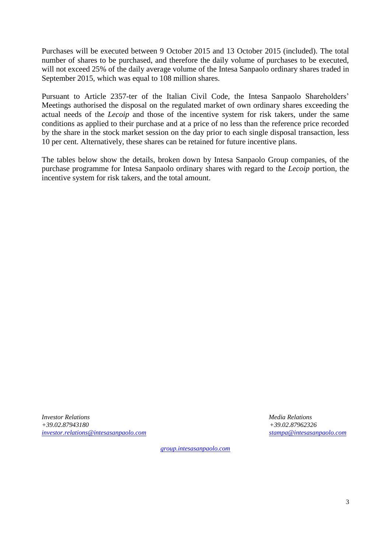Purchases will be executed between 9 October 2015 and 13 October 2015 (included). The total number of shares to be purchased, and therefore the daily volume of purchases to be executed, will not exceed 25% of the daily average volume of the Intesa Sanpaolo ordinary shares traded in September 2015, which was equal to 108 million shares.

Pursuant to Article 2357-ter of the Italian Civil Code, the Intesa Sanpaolo Shareholders' Meetings authorised the disposal on the regulated market of own ordinary shares exceeding the actual needs of the *Lecoip* and those of the incentive system for risk takers, under the same conditions as applied to their purchase and at a price of no less than the reference price recorded by the share in the stock market session on the day prior to each single disposal transaction, less 10 per cent. Alternatively, these shares can be retained for future incentive plans.

The tables below show the details, broken down by Intesa Sanpaolo Group companies, of the purchase programme for Intesa Sanpaolo ordinary shares with regard to the *Lecoip* portion, the incentive system for risk takers, and the total amount.

*Investor Relations Media Relations +39.02.87943180 +39.02.87962326 [investor.relations@intesasanpaolo.com](mailto:investor.relations@intesasanpaolo.com) [stampa@intesasanpaolo.com](mailto:stampa@intesasanpaolo.com)*

*[group.intesasanpaolo.com](http://www.group.intesasanpaolo.com/scriptIsir0/si09/eng_index.jsp)*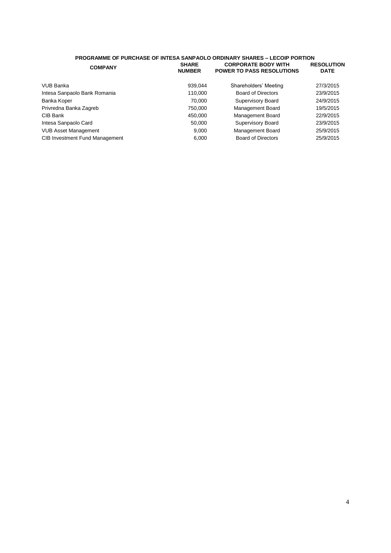#### **PROGRAMME OF PURCHASE OF INTESA SANPAOLO ORDINARY SHARES – LECOIP PORTION COMPANY SHARE NUMBER CORPORATE BODY WITH POWER TO PASS RESOLUTIONS RESOLUTION DATE**

| VUB Banka                             | 939,044 | Shareholders' Meeting     | 27/3/2015 |
|---------------------------------------|---------|---------------------------|-----------|
| Intesa Sanpaolo Bank Romania          | 110.000 | <b>Board of Directors</b> | 23/9/2015 |
| Banka Koper                           | 70.000  | Supervisory Board         | 24/9/2015 |
| Privredna Banka Zagreb                | 750,000 | Management Board          | 19/5/2015 |
| CIB Bank                              | 450,000 | Management Board          | 22/9/2015 |
| Intesa Sanpaolo Card                  | 50.000  | Supervisory Board         | 23/9/2015 |
| <b>VUB Asset Management</b>           | 9.000   | Management Board          | 25/9/2015 |
| <b>CIB Investment Fund Management</b> | 6.000   | <b>Board of Directors</b> | 25/9/2015 |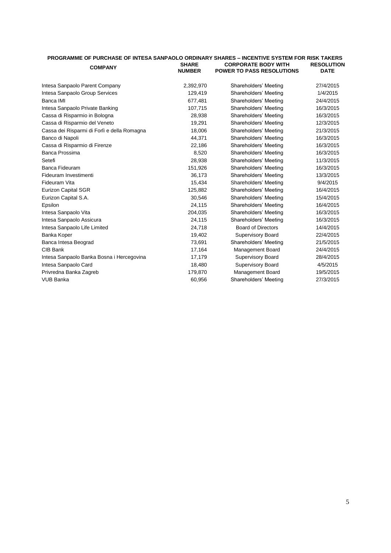| PROGRAMME OF PURCHASE OF INTESA SANPAOLO ORDINARY SHARES - INCENTIVE SYSTEM FOR RISK TAKERS |                               |                                                                |                                  |
|---------------------------------------------------------------------------------------------|-------------------------------|----------------------------------------------------------------|----------------------------------|
| <b>COMPANY</b>                                                                              | <b>SHARE</b><br><b>NUMBER</b> | <b>CORPORATE BODY WITH</b><br><b>POWER TO PASS RESOLUTIONS</b> | <b>RESOLUTION</b><br><b>DATE</b> |
| Intesa Sanpaolo Parent Company                                                              | 2,392,970                     | Shareholders' Meeting                                          | 27/4/2015                        |
| Intesa Sanpaolo Group Services                                                              | 129,419                       | Shareholders' Meeting                                          | 1/4/2015                         |
| Banca IMI                                                                                   | 677.481                       | Shareholders' Meeting                                          | 24/4/2015                        |
| Intesa Sanpaolo Private Banking                                                             | 107,715                       | Shareholders' Meeting                                          | 16/3/2015                        |
| Cassa di Risparmio in Bologna                                                               | 28,938                        | Shareholders' Meeting                                          | 16/3/2015                        |
| Cassa di Risparmio del Veneto                                                               | 19,291                        | Shareholders' Meeting                                          | 12/3/2015                        |
| Cassa dei Risparmi di Forlì e della Romagna                                                 | 18,006                        | Shareholders' Meeting                                          | 21/3/2015                        |
| Banco di Napoli                                                                             | 44,371                        | Shareholders' Meeting                                          | 16/3/2015                        |
| Cassa di Risparmio di Firenze                                                               | 22,186                        | Shareholders' Meeting                                          | 16/3/2015                        |
| Banca Prossima                                                                              | 8,520                         | Shareholders' Meeting                                          | 16/3/2015                        |
| Setefi                                                                                      | 28,938                        | Shareholders' Meeting                                          | 11/3/2015                        |
| Banca Fideuram                                                                              | 151,926                       | Shareholders' Meeting                                          | 16/3/2015                        |
| Fideuram Investimenti                                                                       | 36,173                        | Shareholders' Meeting                                          | 13/3/2015                        |
| Fideuram Vita                                                                               | 15,434                        | Shareholders' Meeting                                          | 9/4/2015                         |
| <b>Eurizon Capital SGR</b>                                                                  | 125,882                       | Shareholders' Meeting                                          | 16/4/2015                        |
| Eurizon Capital S.A.                                                                        | 30,546                        | Shareholders' Meeting                                          | 15/4/2015                        |
| Epsilon                                                                                     | 24,115                        | Shareholders' Meeting                                          | 16/4/2015                        |
| Intesa Sanpaolo Vita                                                                        | 204,035                       | Shareholders' Meeting                                          | 16/3/2015                        |
| Intesa Sanpaolo Assicura                                                                    | 24,115                        | Shareholders' Meeting                                          | 16/3/2015                        |
| Intesa Sanpaolo Life Limited                                                                | 24,718                        | <b>Board of Directors</b>                                      | 14/4/2015                        |
| Banka Koper                                                                                 | 19,402                        | <b>Supervisory Board</b>                                       | 22/4/2015                        |
| Banca Intesa Beograd                                                                        | 73.691                        | Shareholders' Meeting                                          | 21/5/2015                        |
| CIB Bank                                                                                    | 17,164                        | <b>Management Board</b>                                        | 24/4/2015                        |
| Intesa Sanpaolo Banka Bosna i Hercegovina                                                   | 17,179                        | <b>Supervisory Board</b>                                       | 28/4/2015                        |
| Intesa Sanpaolo Card                                                                        | 18,480                        | <b>Supervisory Board</b>                                       | 4/5/2015                         |
| Privredna Banka Zagreb                                                                      | 179,870                       | Management Board                                               | 19/5/2015                        |
| <b>VUB Banka</b>                                                                            | 60,956                        | Shareholders' Meeting                                          | 27/3/2015                        |